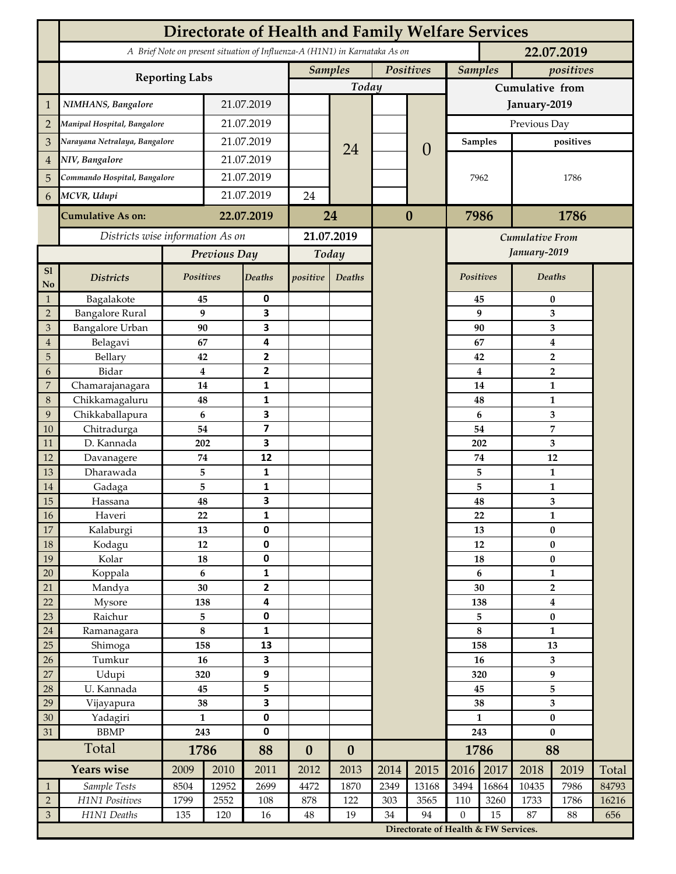|                               | <b>Directorate of Health and Family Welfare Services</b> |                 |              |                              |                  |                                                                                          |          |                                      |                                 |                |                                  |              |       |  |
|-------------------------------|----------------------------------------------------------|-----------------|--------------|------------------------------|------------------|------------------------------------------------------------------------------------------|----------|--------------------------------------|---------------------------------|----------------|----------------------------------|--------------|-------|--|
|                               |                                                          |                 |              |                              |                  | A Brief Note on present situation of Influenza-A (H1N1) in Karnataka As on<br>22.07.2019 |          |                                      |                                 |                |                                  |              |       |  |
|                               |                                                          |                 |              |                              |                  | <b>Samples</b><br>Positives                                                              |          |                                      | <b>Samples</b><br>positives     |                |                                  |              |       |  |
|                               | <b>Reporting Labs</b>                                    |                 |              |                              |                  | Today                                                                                    |          |                                      | Cumulative from                 |                |                                  |              |       |  |
| $\mathbf{1}$                  | NIMHANS, Bangalore                                       | 21.07.2019      |              |                              |                  |                                                                                          |          | January-2019                         |                                 |                |                                  |              |       |  |
| $\overline{2}$                | Manipal Hospital, Bangalore                              |                 |              | 21.07.2019                   |                  |                                                                                          |          |                                      | Previous Day                    |                |                                  |              |       |  |
| 3                             | Narayana Netralaya, Bangalore                            |                 |              | 21.07.2019                   |                  |                                                                                          |          | $\theta$                             |                                 | <b>Samples</b> | positives                        |              |       |  |
| $\overline{4}$                | NIV, Bangalore                                           |                 | 21.07.2019   |                              |                  | 24                                                                                       |          |                                      |                                 |                |                                  |              |       |  |
| 5                             | Commando Hospital, Bangalore                             |                 | 21.07.2019   |                              |                  |                                                                                          |          |                                      | 7962                            |                | 1786                             |              |       |  |
| 6                             | MCVR, Udupi                                              |                 | 21.07.2019   |                              | 24               |                                                                                          |          |                                      |                                 |                |                                  |              |       |  |
|                               | <b>Cumulative As on:</b>                                 |                 | 22.07.2019   |                              |                  |                                                                                          | $\bf{0}$ |                                      | 7986                            |                | 1786                             |              |       |  |
|                               |                                                          |                 |              | 24                           |                  |                                                                                          |          |                                      |                                 |                |                                  |              |       |  |
|                               | Districts wise information As on                         |                 |              | 21.07.2019                   |                  |                                                                                          |          |                                      | Cumulative From<br>January-2019 |                |                                  |              |       |  |
|                               |                                                          |                 | Previous Day |                              | Today            |                                                                                          |          |                                      |                                 |                |                                  |              |       |  |
| ${\bf S1}$<br>No              | <b>Districts</b>                                         | Positives       |              | Deaths                       | positive         | Deaths                                                                                   |          |                                      |                                 | Positives      | Deaths                           |              |       |  |
| $\mathbf{1}$                  | Bagalakote                                               | 45              |              | 0                            |                  |                                                                                          |          |                                      |                                 | 45             | $\bf{0}$                         |              |       |  |
| $\overline{2}$                | <b>Bangalore Rural</b>                                   | 9               |              | 3                            |                  |                                                                                          |          |                                      | 9                               |                | 3                                |              |       |  |
| $\mathfrak{Z}$                | <b>Bangalore Urban</b>                                   | 90              |              | 3<br>4                       |                  |                                                                                          |          |                                      |                                 | 90             | 3                                |              |       |  |
| $\overline{4}$<br>$\mathbf 5$ | Belagavi<br>Bellary                                      | 67<br>42        |              | $\mathbf{2}$                 |                  |                                                                                          |          |                                      |                                 | 67<br>42       | 4                                |              |       |  |
| 6                             | Bidar                                                    | $\bf{4}$        |              | $\mathbf{2}$                 |                  |                                                                                          |          |                                      |                                 | 4              | $\overline{2}$<br>$\overline{2}$ |              |       |  |
| 7                             | Chamarajanagara                                          | 14              |              | 1                            |                  |                                                                                          |          |                                      | 14                              |                | $\mathbf{1}$                     |              |       |  |
| $\,8\,$                       | Chikkamagaluru                                           | 48              |              | 1                            |                  |                                                                                          |          |                                      |                                 | 48             |                                  | $\mathbf{1}$ |       |  |
| 9                             | Chikkaballapura                                          | 6               |              | 3                            |                  |                                                                                          |          |                                      |                                 | 6              |                                  | 3            |       |  |
| 10                            | Chitradurga                                              | 54              |              | 7                            |                  |                                                                                          |          |                                      |                                 | 54             |                                  | 7            |       |  |
| 11                            | D. Kannada                                               | 202             |              | 3                            |                  |                                                                                          |          |                                      |                                 | 202            | 3                                |              |       |  |
| 12                            | Davanagere                                               | $74\,$          |              | 12                           |                  |                                                                                          |          |                                      |                                 | $74\,$         | 12                               |              |       |  |
| 13                            | Dharawada                                                | 5               |              | 1                            |                  |                                                                                          |          |                                      |                                 | 5              | $\mathbf{1}$                     |              |       |  |
| 14                            | Gadaga                                                   | 5               |              | 1                            |                  |                                                                                          |          |                                      |                                 | 5              | $\mathbf{1}$                     |              |       |  |
| 15                            | Hassana                                                  | 48              |              | 3                            |                  |                                                                                          |          |                                      |                                 | 48             | 3                                |              |       |  |
| I<br>$16\,$                   | Haveri                                                   | 22              |              | 1                            |                  |                                                                                          |          |                                      |                                 | 22             |                                  | 1            |       |  |
| 17                            | Kalaburgi                                                | 13              |              | 0                            |                  |                                                                                          |          |                                      |                                 | 13             | $\bf{0}$                         |              |       |  |
| 18                            | Kodagu                                                   | 12              |              | $\pmb{0}$                    |                  |                                                                                          |          |                                      |                                 | 12             | $\pmb{0}$<br>$\pmb{0}$           |              |       |  |
| 19                            | Kolar                                                    | ${\bf 18}$<br>6 |              | $\pmb{0}$                    |                  |                                                                                          |          |                                      | 18<br>$\boldsymbol{6}$          |                | $\mathbf{1}$                     |              |       |  |
| 20<br>21                      | Koppala<br>Mandya                                        | 30              |              | $\mathbf{1}$<br>$\mathbf{2}$ |                  |                                                                                          |          |                                      | 30                              |                | $\mathbf{2}$                     |              |       |  |
| 22                            | Mysore                                                   | 138             |              | 4                            |                  |                                                                                          |          |                                      | 138                             |                | $\bf{4}$                         |              |       |  |
| 23                            | Raichur                                                  | 5               |              | 0                            |                  |                                                                                          |          |                                      | 5                               |                | $\pmb{0}$                        |              |       |  |
| 24                            | Ramanagara                                               | $\bf 8$         |              | $\mathbf{1}$                 |                  |                                                                                          |          |                                      | $\bf 8$                         |                | $\mathbf{1}$                     |              |       |  |
| 25                            | Shimoga                                                  | 158             |              | 13                           |                  |                                                                                          |          |                                      |                                 | 158            | 13                               |              |       |  |
| 26                            | Tumkur                                                   | 16              |              | 3                            |                  |                                                                                          |          |                                      | 16                              |                | $\mathbf{3}$                     |              |       |  |
| 27                            | Udupi                                                    | 320             |              | 9                            |                  |                                                                                          |          |                                      | 320                             |                | $\boldsymbol{9}$                 |              |       |  |
| 28                            | U. Kannada                                               | 45              |              | 5                            |                  |                                                                                          |          |                                      | 45                              |                |                                  | 5            |       |  |
| 29                            | Vijayapura                                               | 38              |              | 3                            |                  |                                                                                          |          |                                      |                                 | 38             | $\overline{\mathbf{3}}$          |              |       |  |
| 30                            | Yadagiri                                                 | $\mathbf{1}$    |              | 0                            |                  |                                                                                          |          |                                      | $\mathbf{1}$                    |                | $\pmb{0}$                        |              |       |  |
| 31                            | <b>BBMP</b>                                              | 243             |              | $\pmb{0}$                    |                  |                                                                                          |          |                                      | 243                             |                | $\bf{0}$                         |              |       |  |
|                               | Total                                                    | 1786            |              | 88                           | $\boldsymbol{0}$ | $\boldsymbol{0}$                                                                         |          |                                      |                                 | 1786           | 88                               |              |       |  |
|                               | <b>Years wise</b>                                        | 2009            | 2010         | 2011                         | 2012             | 2013                                                                                     | 2014     | 2015                                 | 2016                            | 2017           | 2018                             | 2019         | Total |  |
| $\mathbf{1}$                  | Sample Tests                                             | 8504            | 12952        | 2699                         | 4472             | 1870                                                                                     | 2349     | 13168                                | 3494                            | 16864          | 10435                            | 7986         | 84793 |  |
| $\overline{2}$                | H1N1 Positives                                           | 1799            | 2552         | 108                          | 878              | 122                                                                                      | 303      | 3565                                 | 110                             | 3260           | 1733                             | 1786         | 16216 |  |
| $\mathfrak{Z}$                | H1N1 Deaths                                              | 135             | 120          | 16                           | $\rm 48$         | 19                                                                                       | 34       | 94                                   | $\mathbf{0}$                    | 15             | 87                               | 88           | 656   |  |
|                               |                                                          |                 |              |                              |                  |                                                                                          |          | Directorate of Health & FW Services. |                                 |                |                                  |              |       |  |